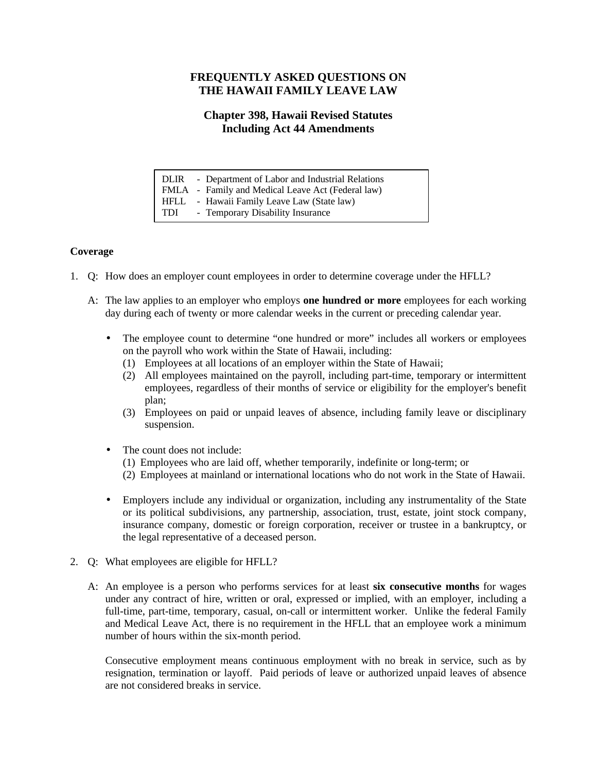## **FREQUENTLY ASKED QUESTIONS ON THE HAWAII FAMILY LEAVE LAW**

# **Chapter 398, Hawaii Revised Statutes Including Act 44 Amendments**

|     | DLIR - Department of Labor and Industrial Relations |
|-----|-----------------------------------------------------|
|     | FMLA - Family and Medical Leave Act (Federal law)   |
|     | HFLL - Hawaii Family Leave Law (State law)          |
| TDI | - Temporary Disability Insurance                    |

## **Coverage**

- 1. Q: How does an employer count employees in order to determine coverage under the HFLL?
	- A: The law applies to an employer who employs **one hundred or more** employees for each working day during each of twenty or more calendar weeks in the current or preceding calendar year.
		- The employee count to determine "one hundred or more" includes all workers or employees on the payroll who work within the State of Hawaii, including:
			- (1) Employees at all locations of an employer within the State of Hawaii;
			- (2) All employees maintained on the payroll, including part-time, temporary or intermittent employees, regardless of their months of service or eligibility for the employer's benefit plan;
			- (3) Employees on paid or unpaid leaves of absence, including family leave or disciplinary suspension.
		- The count does not include:
			- (1) Employees who are laid off, whether temporarily, indefinite or long-term; or
			- (2) Employees at mainland or international locations who do not work in the State of Hawaii.
		- Employers include any individual or organization, including any instrumentality of the State or its political subdivisions, any partnership, association, trust, estate, joint stock company, insurance company, domestic or foreign corporation, receiver or trustee in a bankruptcy, or the legal representative of a deceased person.
- 2. Q: What employees are eligible for HFLL?
	- A: An employee is a person who performs services for at least **six consecutive months** for wages under any contract of hire, written or oral, expressed or implied, with an employer, including a full-time, part-time, temporary, casual, on-call or intermittent worker. Unlike the federal Family and Medical Leave Act, there is no requirement in the HFLL that an employee work a minimum number of hours within the six-month period.

Consecutive employment means continuous employment with no break in service, such as by resignation, termination or layoff. Paid periods of leave or authorized unpaid leaves of absence are not considered breaks in service.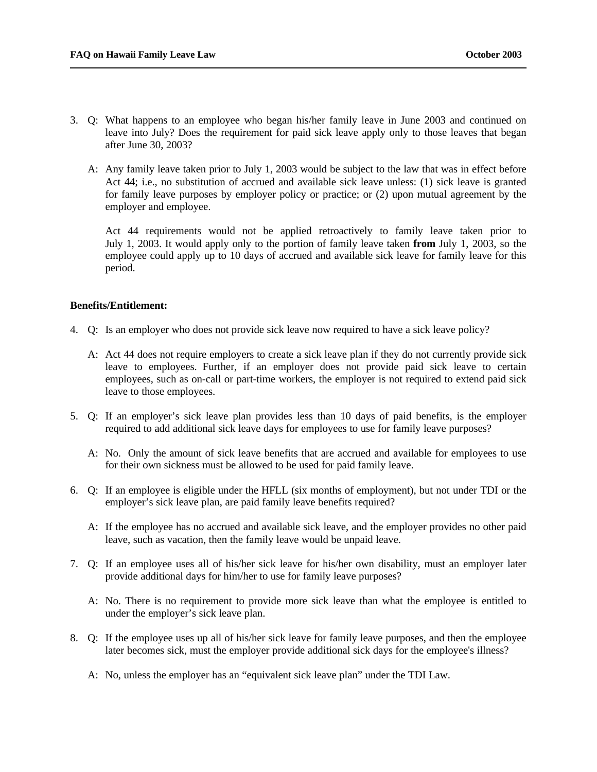- 3. Q: What happens to an employee who began his/her family leave in June 2003 and continued on leave into July? Does the requirement for paid sick leave apply only to those leaves that began after June 30, 2003?
	- A: Any family leave taken prior to July 1, 2003 would be subject to the law that was in effect before Act 44; i.e., no substitution of accrued and available sick leave unless: (1) sick leave is granted for family leave purposes by employer policy or practice; or (2) upon mutual agreement by the employer and employee.

Act 44 requirements would not be applied retroactively to family leave taken prior to July 1, 2003. It would apply only to the portion of family leave taken **from** July 1, 2003, so the employee could apply up to 10 days of accrued and available sick leave for family leave for this period.

### **Benefits/Entitlement:**

- 4. Q: Is an employer who does not provide sick leave now required to have a sick leave policy?
	- A: Act 44 does not require employers to create a sick leave plan if they do not currently provide sick leave to employees. Further, if an employer does not provide paid sick leave to certain employees, such as on-call or part-time workers, the employer is not required to extend paid sick leave to those employees.
- 5. Q: If an employer's sick leave plan provides less than 10 days of paid benefits, is the employer required to add additional sick leave days for employees to use for family leave purposes?
	- A: No. Only the amount of sick leave benefits that are accrued and available for employees to use for their own sickness must be allowed to be used for paid family leave.
- 6. Q: If an employee is eligible under the HFLL (six months of employment), but not under TDI or the employer's sick leave plan, are paid family leave benefits required?
	- A: If the employee has no accrued and available sick leave, and the employer provides no other paid leave, such as vacation, then the family leave would be unpaid leave.
- 7. Q: If an employee uses all of his/her sick leave for his/her own disability, must an employer later provide additional days for him/her to use for family leave purposes?
	- A: No. There is no requirement to provide more sick leave than what the employee is entitled to under the employer's sick leave plan.
- 8. Q: If the employee uses up all of his/her sick leave for family leave purposes, and then the employee later becomes sick, must the employer provide additional sick days for the employee's illness?
	- A: No, unless the employer has an "equivalent sick leave plan" under the TDI Law.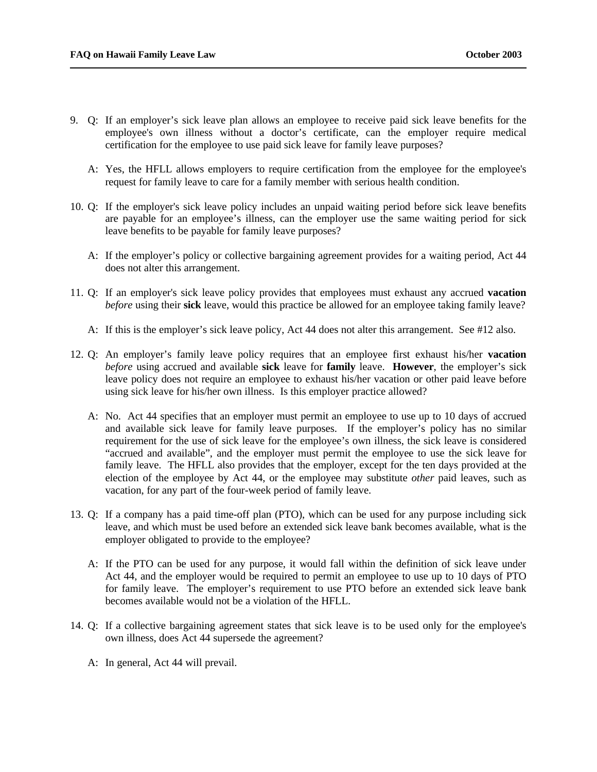- 9. Q: If an employer's sick leave plan allows an employee to receive paid sick leave benefits for the employee's own illness without a doctor's certificate, can the employer require medical certification for the employee to use paid sick leave for family leave purposes?
	- A: Yes, the HFLL allows employers to require certification from the employee for the employee's request for family leave to care for a family member with serious health condition.
- 10. Q: If the employer's sick leave policy includes an unpaid waiting period before sick leave benefits are payable for an employee's illness, can the employer use the same waiting period for sick leave benefits to be payable for family leave purposes?
	- A: If the employer's policy or collective bargaining agreement provides for a waiting period, Act 44 does not alter this arrangement.
- 11. Q: If an employer's sick leave policy provides that employees must exhaust any accrued **vacation** *before* using their **sick** leave, would this practice be allowed for an employee taking family leave?
	- A: If this is the employer's sick leave policy, Act 44 does not alter this arrangement. See #12 also.
- 12. Q: An employer's family leave policy requires that an employee first exhaust his/her **vacation** *before* using accrued and available **sick** leave for **family** leave. **However***,* the employer's sick leave policy does not require an employee to exhaust his/her vacation or other paid leave before using sick leave for his/her own illness. Is this employer practice allowed?
	- A: No. Act 44 specifies that an employer must permit an employee to use up to 10 days of accrued and available sick leave for family leave purposes. If the employer's policy has no similar requirement for the use of sick leave for the employee's own illness, the sick leave is considered "accrued and available", and the employer must permit the employee to use the sick leave for family leave. The HFLL also provides that the employer, except for the ten days provided at the election of the employee by Act 44, or the employee may substitute *other* paid leaves, such as vacation, for any part of the four-week period of family leave.
- 13. Q: If a company has a paid time-off plan (PTO), which can be used for any purpose including sick leave, and which must be used before an extended sick leave bank becomes available, what is the employer obligated to provide to the employee?
	- A: If the PTO can be used for any purpose, it would fall within the definition of sick leave under Act 44, and the employer would be required to permit an employee to use up to 10 days of PTO for family leave. The employer's requirement to use PTO before an extended sick leave bank becomes available would not be a violation of the HFLL.
- 14. Q: If a collective bargaining agreement states that sick leave is to be used only for the employee's own illness, does Act 44 supersede the agreement?
	- A: In general, Act 44 will prevail.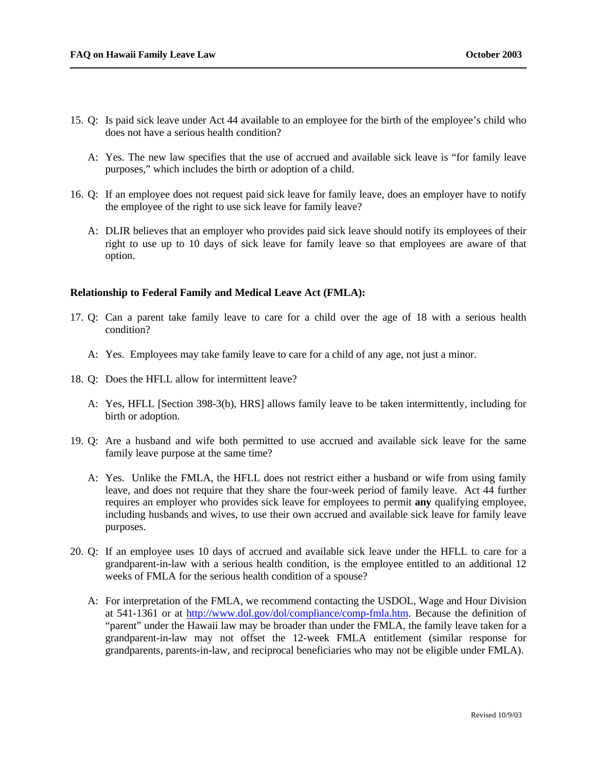- 15. Q: Is paid sick leave under Act 44 available to an employee for the birth of the employee's child who does not have a serious health condition?
	- A: Yes. The new law specifies that the use of accrued and available sick leave is "for family leave purposes," which includes the birth or adoption of a child.
- 16. Q: If an employee does not request paid sick leave for family leave, does an employer have to notify the employee of the right to use sick leave for family leave?
	- A: DLIR believes that an employer who provides paid sick leave should notify its employees of their right to use up to 10 days of sick leave for family leave so that employees are aware of that option.

#### **Relationship to Federal Family and Medical Leave Act (FMLA):**

- 17. Q: Can a parent take family leave to care for a child over the age of 18 with a serious health condition?
	- A: Yes. Employees may take family leave to care for a child of any age, not just a minor.
- 18. Q: Does the HFLL allow for intermittent leave?
	- A: Yes, HFLL [Section 398-3(b), HRS] allows family leave to be taken intermittently, including for birth or adoption.
- 19. Q: Are a husband and wife both permitted to use accrued and available sick leave for the same family leave purpose at the same time?
	- A: Yes. Unlike the FMLA, the HFLL does not restrict either a husband or wife from using family leave, and does not require that they share the four-week period of family leave. Act 44 further requires an employer who provides sick leave for employees to permit **any** qualifying employee, including husbands and wives, to use their own accrued and available sick leave for family leave purposes.
- 20. Q: If an employee uses 10 days of accrued and available sick leave under the HFLL to care for a grandparent-in-law with a serious health condition, is the employee entitled to an additional 12 weeks of FMLA for the serious health condition of a spouse?
	- A: For interpretation of the FMLA, we recommend contacting the USDOL, Wage and Hour Division at 541-1361 or at http://www.dol.gov/dol/compliance/comp-fmla.htm. Because the definition of "parent" under the Hawaii law may be broader than under the FMLA, the family leave taken for a grandparent-in-law may not offset the 12-week FMLA entitlement (similar response for grandparents, parents-in-law, and reciprocal beneficiaries who may not be eligible under FMLA).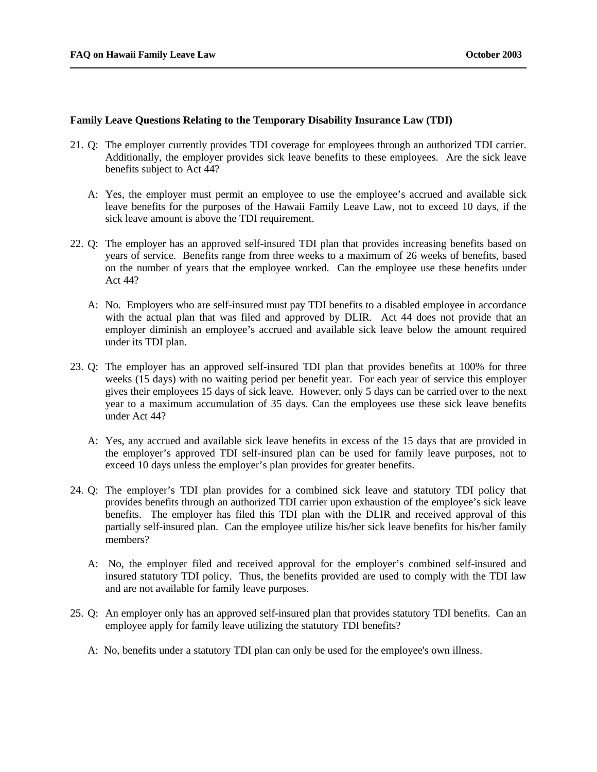#### **Family Leave Questions Relating to the Temporary Disability Insurance Law (TDI)**

- 21. Q: The employer currently provides TDI coverage for employees through an authorized TDI carrier. Additionally, the employer provides sick leave benefits to these employees. Are the sick leave benefits subject to Act 44?
	- A: Yes, the employer must permit an employee to use the employee's accrued and available sick leave benefits for the purposes of the Hawaii Family Leave Law, not to exceed 10 days, if the sick leave amount is above the TDI requirement.
- 22. Q: The employer has an approved self-insured TDI plan that provides increasing benefits based on years of service. Benefits range from three weeks to a maximum of 26 weeks of benefits, based on the number of years that the employee worked. Can the employee use these benefits under Act 44?
	- A: No. Employers who are self-insured must pay TDI benefits to a disabled employee in accordance with the actual plan that was filed and approved by DLIR. Act 44 does not provide that an employer diminish an employee's accrued and available sick leave below the amount required under its TDI plan.
- 23. Q: The employer has an approved self-insured TDI plan that provides benefits at 100% for three weeks (15 days) with no waiting period per benefit year. For each year of service this employer gives their employees 15 days of sick leave. However, only 5 days can be carried over to the next year to a maximum accumulation of 35 days. Can the employees use these sick leave benefits under Act 44?
	- A: Yes, any accrued and available sick leave benefits in excess of the 15 days that are provided in the employer's approved TDI self-insured plan can be used for family leave purposes, not to exceed 10 days unless the employer's plan provides for greater benefits.
- 24. Q: The employer's TDI plan provides for a combined sick leave and statutory TDI policy that provides benefits through an authorized TDI carrier upon exhaustion of the employee's sick leave benefits. The employer has filed this TDI plan with the DLIR and received approval of this partially self-insured plan. Can the employee utilize his/her sick leave benefits for his/her family members?
	- A: No, the employer filed and received approval for the employer's combined self-insured and insured statutory TDI policy. Thus, the benefits provided are used to comply with the TDI law and are not available for family leave purposes.
- 25. Q: An employer only has an approved self-insured plan that provides statutory TDI benefits. Can an employee apply for family leave utilizing the statutory TDI benefits?
	- A: No, benefits under a statutory TDI plan can only be used for the employee's own illness.